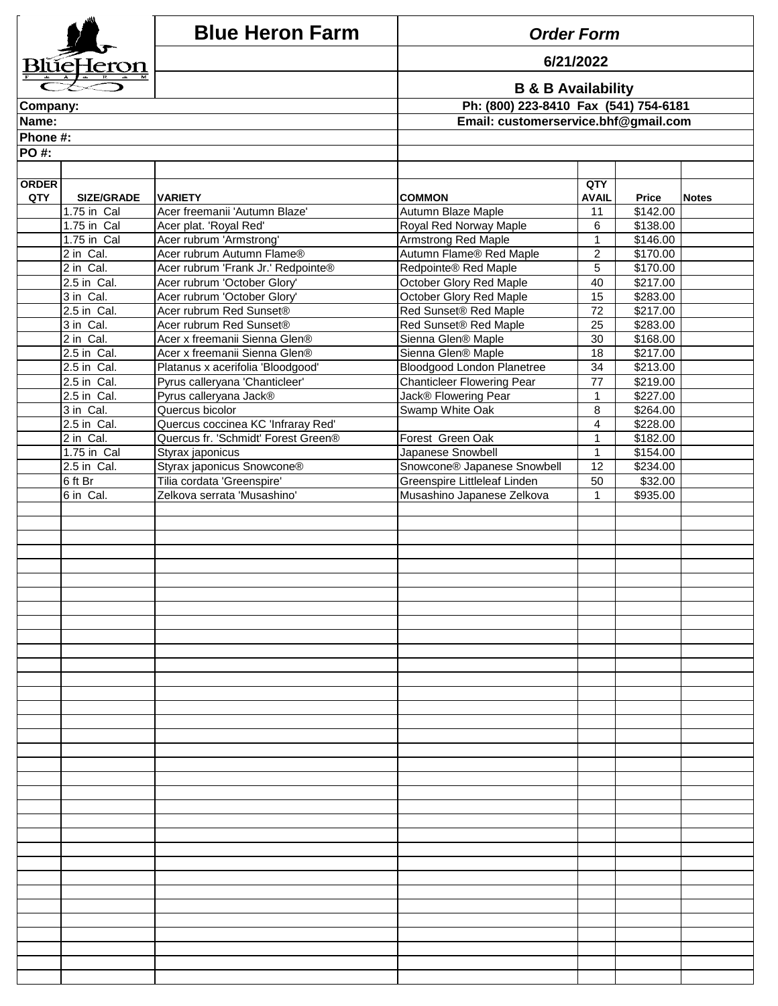|              |                            | <b>Blue Heron Farm</b>                                                    | <b>Order Form</b>                                                      |                |                      |              |
|--------------|----------------------------|---------------------------------------------------------------------------|------------------------------------------------------------------------|----------------|----------------------|--------------|
|              | BlŭeHeron                  |                                                                           |                                                                        | 6/21/2022      |                      |              |
|              |                            |                                                                           |                                                                        |                |                      |              |
| Company:     |                            |                                                                           | <b>B &amp; B Availability</b><br>Ph: (800) 223-8410 Fax (541) 754-6181 |                |                      |              |
| Name:        |                            |                                                                           | Email: customerservice.bhf@gmail.com                                   |                |                      |              |
| Phone #:     |                            |                                                                           |                                                                        |                |                      |              |
| <b>PO#:</b>  |                            |                                                                           |                                                                        |                |                      |              |
|              |                            |                                                                           |                                                                        |                |                      |              |
| <b>ORDER</b> |                            |                                                                           |                                                                        | QTY            |                      |              |
| QTY          | <b>SIZE/GRADE</b>          | <b>VARIETY</b>                                                            | <b>COMMON</b>                                                          | <b>AVAIL</b>   | <b>Price</b>         | <b>Notes</b> |
|              | 1.75 in Cal<br>1.75 in Cal | Acer freemanii 'Autumn Blaze'                                             | Autumn Blaze Maple                                                     | 11<br>6        | \$142.00<br>\$138.00 |              |
|              | 1.75 in Cal                | Acer plat. 'Royal Red'<br>Acer rubrum 'Armstrong'                         | Royal Red Norway Maple<br><b>Armstrong Red Maple</b>                   | $\mathbf{1}$   | \$146.00             |              |
|              | 2 in Cal.                  | Acer rubrum Autumn Flame®                                                 | Autumn Flame® Red Maple                                                | $\overline{2}$ | \$170.00             |              |
|              | 2 in Cal.                  | Acer rubrum 'Frank Jr.' Redpointe®                                        | Redpointe® Red Maple                                                   | 5              | \$170.00             |              |
|              | 2.5 in Cal.                | Acer rubrum 'October Glory'                                               | October Glory Red Maple                                                | 40             | \$217.00             |              |
|              | 3 in Cal.                  | Acer rubrum 'October Glory'                                               | October Glory Red Maple                                                | 15             | \$283.00             |              |
|              | 2.5 in Cal.                | Acer rubrum Red Sunset®                                                   | Red Sunset® Red Maple                                                  | 72             | \$217.00             |              |
|              | 3 in Cal.<br>2 in Cal.     | Acer rubrum Red Sunset®<br>Acer x freemanii Sienna Glen®                  | Red Sunset® Red Maple<br>Sienna Glen® Maple                            | 25<br>30       | \$283.00<br>\$168.00 |              |
|              | 2.5 in Cal.                | Acer x freemanii Sienna Glen®                                             | Sienna Glen® Maple                                                     | 18             | \$217.00             |              |
|              | 2.5 in Cal.                | Platanus x acerifolia 'Bloodgood'                                         | Bloodgood London Planetree                                             | 34             | \$213.00             |              |
|              | 2.5 in Cal.                | Pyrus calleryana 'Chanticleer'                                            | <b>Chanticleer Flowering Pear</b>                                      | 77             | \$219.00             |              |
|              | 2.5 in Cal.                | Pyrus calleryana Jack®                                                    | Jack® Flowering Pear                                                   | $\mathbf{1}$   | \$227.00             |              |
|              | 3 in Cal.                  | Quercus bicolor                                                           | Swamp White Oak                                                        | 8              | \$264.00             |              |
|              | 2.5 in Cal.<br>2 in Cal.   | Quercus coccinea KC 'Infraray Red'<br>Quercus fr. 'Schmidt' Forest Green® | Forest Green Oak                                                       | 4<br>1         | \$228.00<br>\$182.00 |              |
|              | 1.75 in Cal                | Styrax japonicus                                                          | Japanese Snowbell                                                      | $\mathbf{1}$   | \$154.00             |              |
|              | 2.5 in Cal.                | Styrax japonicus Snowcone®                                                | Snowcone® Japanese Snowbell                                            | 12             | \$234.00             |              |
|              | 6 ft Br                    | Tilia cordata 'Greenspire'                                                | Greenspire Littleleaf Linden                                           | 50             | \$32.00              |              |
|              | 6 in Cal.                  | Zelkova serrata 'Musashino'                                               | Musashino Japanese Zelkova                                             | 1              | \$935.00             |              |
|              |                            |                                                                           |                                                                        |                |                      |              |
|              |                            |                                                                           |                                                                        |                |                      |              |
|              |                            |                                                                           |                                                                        |                |                      |              |
|              |                            |                                                                           |                                                                        |                |                      |              |
|              |                            |                                                                           |                                                                        |                |                      |              |
|              |                            |                                                                           |                                                                        |                |                      |              |
|              |                            |                                                                           |                                                                        |                |                      |              |
|              |                            |                                                                           |                                                                        |                |                      |              |
|              |                            |                                                                           |                                                                        |                |                      |              |
|              |                            |                                                                           |                                                                        |                |                      |              |
|              |                            |                                                                           |                                                                        |                |                      |              |
|              |                            |                                                                           |                                                                        |                |                      |              |
|              |                            |                                                                           |                                                                        |                |                      |              |
|              |                            |                                                                           |                                                                        |                |                      |              |
|              |                            |                                                                           |                                                                        |                |                      |              |
|              |                            |                                                                           |                                                                        |                |                      |              |
|              |                            |                                                                           |                                                                        |                |                      |              |
|              |                            |                                                                           |                                                                        |                |                      |              |
|              |                            |                                                                           |                                                                        |                |                      |              |
|              |                            |                                                                           |                                                                        |                |                      |              |
|              |                            |                                                                           |                                                                        |                |                      |              |
|              |                            |                                                                           |                                                                        |                |                      |              |
|              |                            |                                                                           |                                                                        |                |                      |              |
|              |                            |                                                                           |                                                                        |                |                      |              |
|              |                            |                                                                           |                                                                        |                |                      |              |
|              |                            |                                                                           |                                                                        |                |                      |              |
|              |                            |                                                                           |                                                                        |                |                      |              |
|              |                            |                                                                           |                                                                        |                |                      |              |
|              |                            |                                                                           |                                                                        |                |                      |              |
|              |                            |                                                                           |                                                                        |                |                      |              |